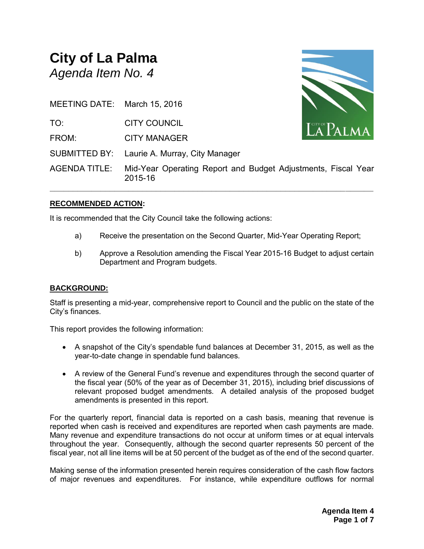# **City of La Palma** *Agenda Item No. 4*

| MEETING DATE: March 15, 2016 |                                                                          |                    |
|------------------------------|--------------------------------------------------------------------------|--------------------|
| TO:                          | <b>CITY COUNCIL</b>                                                      | $\mathbf{LAPALMA}$ |
| FROM:                        | <b>CITY MANAGER</b>                                                      |                    |
|                              | SUBMITTED BY: Laurie A. Murray, City Manager                             |                    |
| <b>AGENDA TITLE:</b>         | Mid-Year Operating Report and Budget Adjustments, Fiscal Year<br>2015-16 |                    |

# **RECOMMENDED ACTION:**

It is recommended that the City Council take the following actions:

- a) Receive the presentation on the Second Quarter, Mid-Year Operating Report;
- b) Approve a Resolution amending the Fiscal Year 2015-16 Budget to adjust certain Department and Program budgets.

#### **BACKGROUND:**

Staff is presenting a mid-year, comprehensive report to Council and the public on the state of the City's finances.

This report provides the following information:

- A snapshot of the City's spendable fund balances at December 31, 2015, as well as the year-to-date change in spendable fund balances.
- A review of the General Fund's revenue and expenditures through the second quarter of the fiscal year (50% of the year as of December 31, 2015), including brief discussions of relevant proposed budget amendments. A detailed analysis of the proposed budget amendments is presented in this report.

For the quarterly report, financial data is reported on a cash basis, meaning that revenue is reported when cash is received and expenditures are reported when cash payments are made. Many revenue and expenditure transactions do not occur at uniform times or at equal intervals throughout the year. Consequently, although the second quarter represents 50 percent of the fiscal year, not all line items will be at 50 percent of the budget as of the end of the second quarter.

Making sense of the information presented herein requires consideration of the cash flow factors of major revenues and expenditures. For instance, while expenditure outflows for normal

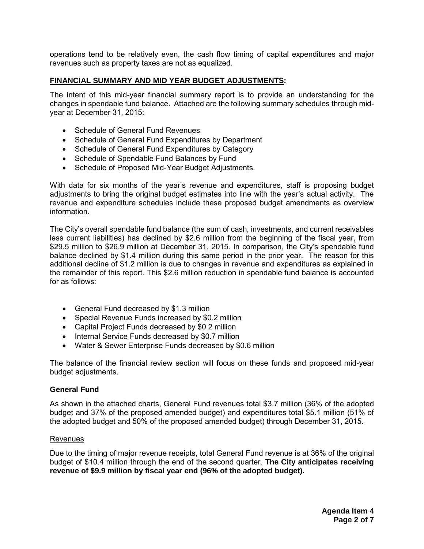operations tend to be relatively even, the cash flow timing of capital expenditures and major revenues such as property taxes are not as equalized.

#### **FINANCIAL SUMMARY AND MID YEAR BUDGET ADJUSTMENTS:**

The intent of this mid-year financial summary report is to provide an understanding for the changes in spendable fund balance. Attached are the following summary schedules through midyear at December 31, 2015:

- Schedule of General Fund Revenues
- Schedule of General Fund Expenditures by Department
- Schedule of General Fund Expenditures by Category
- Schedule of Spendable Fund Balances by Fund
- Schedule of Proposed Mid-Year Budget Adjustments.

With data for six months of the year's revenue and expenditures, staff is proposing budget adjustments to bring the original budget estimates into line with the year's actual activity. The revenue and expenditure schedules include these proposed budget amendments as overview information.

The City's overall spendable fund balance (the sum of cash, investments, and current receivables less current liabilities) has declined by \$2.6 million from the beginning of the fiscal year, from \$29.5 million to \$26.9 million at December 31, 2015. In comparison, the City's spendable fund balance declined by \$1.4 million during this same period in the prior year. The reason for this additional decline of \$1.2 million is due to changes in revenue and expenditures as explained in the remainder of this report. This \$2.6 million reduction in spendable fund balance is accounted for as follows:

- General Fund decreased by \$1.3 million
- Special Revenue Funds increased by \$0.2 million
- Capital Project Funds decreased by \$0.2 million
- Internal Service Funds decreased by \$0.7 million
- Water & Sewer Enterprise Funds decreased by \$0.6 million

The balance of the financial review section will focus on these funds and proposed mid-year budget adjustments.

#### **General Fund**

As shown in the attached charts, General Fund revenues total \$3.7 million (36% of the adopted budget and 37% of the proposed amended budget) and expenditures total \$5.1 million (51% of the adopted budget and 50% of the proposed amended budget) through December 31, 2015.

#### **Revenues**

Due to the timing of major revenue receipts, total General Fund revenue is at 36% of the original budget of \$10.4 million through the end of the second quarter. **The City anticipates receiving revenue of \$9.9 million by fiscal year end (96% of the adopted budget).**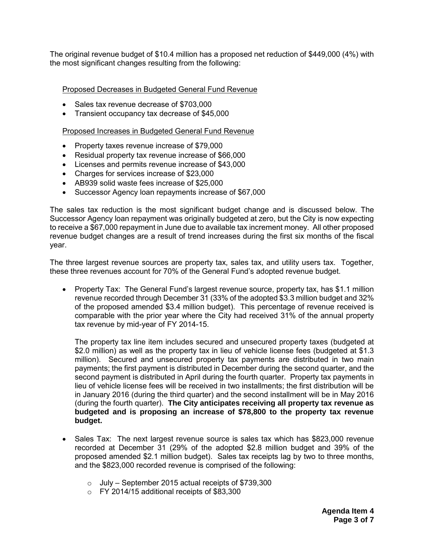The original revenue budget of \$10.4 million has a proposed net reduction of \$449,000 (4%) with the most significant changes resulting from the following:

Proposed Decreases in Budgeted General Fund Revenue

- Sales tax revenue decrease of \$703,000
- Transient occupancy tax decrease of \$45,000

Proposed Increases in Budgeted General Fund Revenue

- Property taxes revenue increase of \$79,000
- Residual property tax revenue increase of \$66,000
- Licenses and permits revenue increase of \$43,000
- Charges for services increase of \$23,000
- AB939 solid waste fees increase of \$25,000
- Successor Agency loan repayments increase of \$67,000

The sales tax reduction is the most significant budget change and is discussed below. The Successor Agency loan repayment was originally budgeted at zero, but the City is now expecting to receive a \$67,000 repayment in June due to available tax increment money. All other proposed revenue budget changes are a result of trend increases during the first six months of the fiscal year.

The three largest revenue sources are property tax, sales tax, and utility users tax. Together, these three revenues account for 70% of the General Fund's adopted revenue budget.

 Property Tax: The General Fund's largest revenue source, property tax, has \$1.1 million revenue recorded through December 31 (33% of the adopted \$3.3 million budget and 32% of the proposed amended \$3.4 million budget). This percentage of revenue received is comparable with the prior year where the City had received 31% of the annual property tax revenue by mid-year of FY 2014-15.

The property tax line item includes secured and unsecured property taxes (budgeted at \$2.0 million) as well as the property tax in lieu of vehicle license fees (budgeted at \$1.3 million). Secured and unsecured property tax payments are distributed in two main payments; the first payment is distributed in December during the second quarter, and the second payment is distributed in April during the fourth quarter. Property tax payments in lieu of vehicle license fees will be received in two installments; the first distribution will be in January 2016 (during the third quarter) and the second installment will be in May 2016 (during the fourth quarter). **The City anticipates receiving all property tax revenue as budgeted and is proposing an increase of \$78,800 to the property tax revenue budget.**

- Sales Tax: The next largest revenue source is sales tax which has \$823,000 revenue recorded at December 31 (29% of the adopted \$2.8 million budget and 39% of the proposed amended \$2.1 million budget). Sales tax receipts lag by two to three months, and the \$823,000 recorded revenue is comprised of the following:
	- $\circ$  July September 2015 actual receipts of \$739,300
	- o FY 2014/15 additional receipts of \$83,300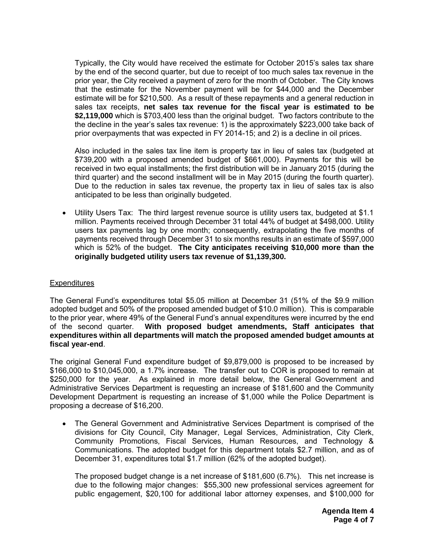Typically, the City would have received the estimate for October 2015's sales tax share by the end of the second quarter, but due to receipt of too much sales tax revenue in the prior year, the City received a payment of zero for the month of October. The City knows that the estimate for the November payment will be for \$44,000 and the December estimate will be for \$210,500. As a result of these repayments and a general reduction in sales tax receipts, **net sales tax revenue for the fiscal year is estimated to be \$2,119,000** which is \$703,400 less than the original budget. Two factors contribute to the the decline in the year's sales tax revenue: 1) is the approximately \$223,000 take back of prior overpayments that was expected in FY 2014-15; and 2) is a decline in oil prices.

Also included in the sales tax line item is property tax in lieu of sales tax (budgeted at \$739,200 with a proposed amended budget of \$661,000). Payments for this will be received in two equal installments; the first distribution will be in January 2015 (during the third quarter) and the second installment will be in May 2015 (during the fourth quarter). Due to the reduction in sales tax revenue, the property tax in lieu of sales tax is also anticipated to be less than originally budgeted.

 Utility Users Tax: The third largest revenue source is utility users tax, budgeted at \$1.1 million. Payments received through December 31 total 44% of budget at \$498,000. Utility users tax payments lag by one month; consequently, extrapolating the five months of payments received through December 31 to six months results in an estimate of \$597,000 which is 52% of the budget. **The City anticipates receiving \$10,000 more than the originally budgeted utility users tax revenue of \$1,139,300.**

## **Expenditures**

The General Fund's expenditures total \$5.05 million at December 31 (51% of the \$9.9 million adopted budget and 50% of the proposed amended budget of \$10.0 million). This is comparable to the prior year, where 49% of the General Fund's annual expenditures were incurred by the end of the second quarter. **With proposed budget amendments, Staff anticipates that expenditures within all departments will match the proposed amended budget amounts at fiscal year-end**.

The original General Fund expenditure budget of \$9,879,000 is proposed to be increased by \$166,000 to \$10,045,000, a 1.7% increase. The transfer out to COR is proposed to remain at \$250,000 for the year. As explained in more detail below, the General Government and Administrative Services Department is requesting an increase of \$181,600 and the Community Development Department is requesting an increase of \$1,000 while the Police Department is proposing a decrease of \$16,200.

 The General Government and Administrative Services Department is comprised of the divisions for City Council, City Manager, Legal Services, Administration, City Clerk, Community Promotions, Fiscal Services, Human Resources, and Technology & Communications. The adopted budget for this department totals \$2.7 million, and as of December 31, expenditures total \$1.7 million (62% of the adopted budget).

The proposed budget change is a net increase of \$181,600 (6.7%). This net increase is due to the following major changes: \$55,300 new professional services agreement for public engagement, \$20,100 for additional labor attorney expenses, and \$100,000 for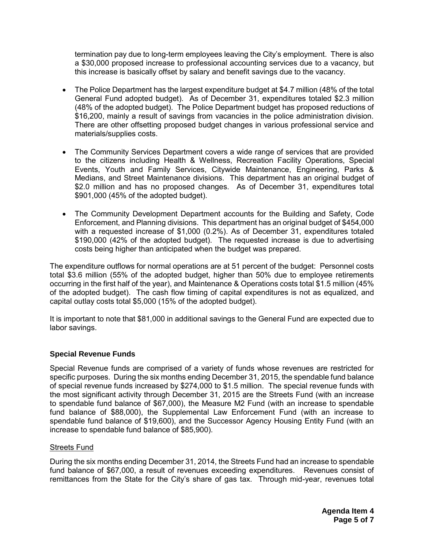termination pay due to long-term employees leaving the City's employment. There is also a \$30,000 proposed increase to professional accounting services due to a vacancy, but this increase is basically offset by salary and benefit savings due to the vacancy.

- The Police Department has the largest expenditure budget at \$4.7 million (48% of the total General Fund adopted budget). As of December 31, expenditures totaled \$2.3 million (48% of the adopted budget). The Police Department budget has proposed reductions of \$16,200, mainly a result of savings from vacancies in the police administration division. There are other offsetting proposed budget changes in various professional service and materials/supplies costs.
- The Community Services Department covers a wide range of services that are provided to the citizens including Health & Wellness, Recreation Facility Operations, Special Events, Youth and Family Services, Citywide Maintenance, Engineering, Parks & Medians, and Street Maintenance divisions. This department has an original budget of \$2.0 million and has no proposed changes. As of December 31, expenditures total \$901,000 (45% of the adopted budget).
- The Community Development Department accounts for the Building and Safety, Code Enforcement, and Planning divisions. This department has an original budget of \$454,000 with a requested increase of \$1,000 (0.2%). As of December 31, expenditures totaled \$190,000 (42% of the adopted budget). The requested increase is due to advertising costs being higher than anticipated when the budget was prepared.

The expenditure outflows for normal operations are at 51 percent of the budget: Personnel costs total \$3.6 million (55% of the adopted budget, higher than 50% due to employee retirements occurring in the first half of the year), and Maintenance & Operations costs total \$1.5 million (45% of the adopted budget). The cash flow timing of capital expenditures is not as equalized, and capital outlay costs total \$5,000 (15% of the adopted budget).

It is important to note that \$81,000 in additional savings to the General Fund are expected due to labor savings.

# **Special Revenue Funds**

Special Revenue funds are comprised of a variety of funds whose revenues are restricted for specific purposes. During the six months ending December 31, 2015, the spendable fund balance of special revenue funds increased by \$274,000 to \$1.5 million. The special revenue funds with the most significant activity through December 31, 2015 are the Streets Fund (with an increase to spendable fund balance of \$67,000), the Measure M2 Fund (with an increase to spendable fund balance of \$88,000), the Supplemental Law Enforcement Fund (with an increase to spendable fund balance of \$19,600), and the Successor Agency Housing Entity Fund (with an increase to spendable fund balance of \$85,900).

## Streets Fund

During the six months ending December 31, 2014, the Streets Fund had an increase to spendable fund balance of \$67,000, a result of revenues exceeding expenditures. Revenues consist of remittances from the State for the City's share of gas tax. Through mid-year, revenues total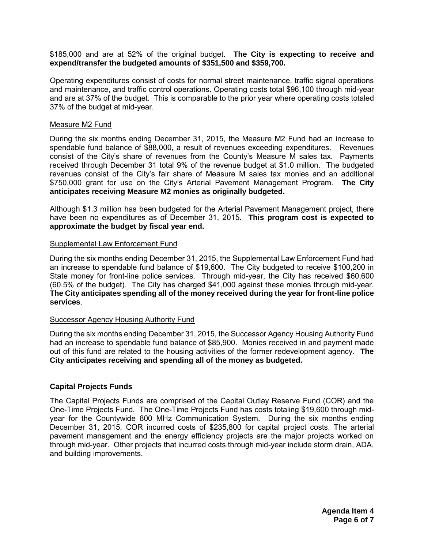#### \$185,000 and are at 52% of the original budget. **The City is expecting to receive and expend/transfer the budgeted amounts of \$351,500 and \$359,700.**

Operating expenditures consist of costs for normal street maintenance, traffic signal operations and maintenance, and traffic control operations. Operating costs total \$96,100 through mid-year and are at 37% of the budget. This is comparable to the prior year where operating costs totaled 37% of the budget at mid-year.

### Measure M2 Fund

During the six months ending December 31, 2015, the Measure M2 Fund had an increase to spendable fund balance of \$88,000, a result of revenues exceeding expenditures. Revenues consist of the City's share of revenues from the County's Measure M sales tax. Payments received through December 31 total 9% of the revenue budget at \$1.0 million. The budgeted revenues consist of the City's fair share of Measure M sales tax monies and an additional \$750,000 grant for use on the City's Arterial Pavement Management Program. **The City anticipates receiving Measure M2 monies as originally budgeted.**

Although \$1.3 million has been budgeted for the Arterial Pavement Management project, there have been no expenditures as of December 31, 2015. **This program cost is expected to approximate the budget by fiscal year end.**

#### Supplemental Law Enforcement Fund

During the six months ending December 31, 2015, the Supplemental Law Enforcement Fund had an increase to spendable fund balance of \$19,600. The City budgeted to receive \$100,200 in State money for front-line police services. Through mid-year, the City has received \$60,600 (60.5% of the budget). The City has charged \$41,000 against these monies through mid-year. **The City anticipates spending all of the money received during the year for front-line police services**.

## Successor Agency Housing Authority Fund

During the six months ending December 31, 2015, the Successor Agency Housing Authority Fund had an increase to spendable fund balance of \$85,900. Monies received in and payment made out of this fund are related to the housing activities of the former redevelopment agency. **The City anticipates receiving and spending all of the money as budgeted.**

## **Capital Projects Funds**

The Capital Projects Funds are comprised of the Capital Outlay Reserve Fund (COR) and the One-Time Projects Fund. The One-Time Projects Fund has costs totaling \$19,600 through midyear for the Countywide 800 MHz Communication System. During the six months ending December 31, 2015, COR incurred costs of \$235,800 for capital project costs. The arterial pavement management and the energy efficiency projects are the major projects worked on through mid-year. Other projects that incurred costs through mid-year include storm drain, ADA, and building improvements.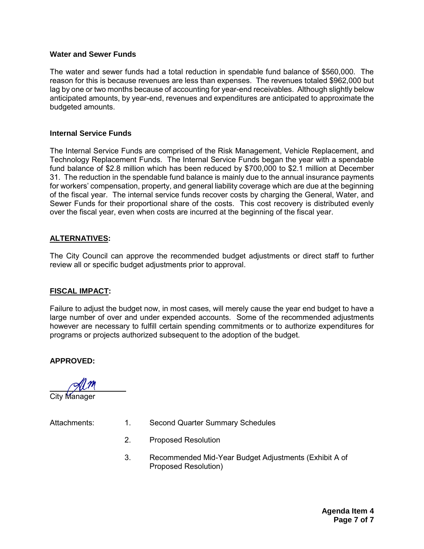#### **Water and Sewer Funds**

The water and sewer funds had a total reduction in spendable fund balance of \$560,000. The reason for this is because revenues are less than expenses. The revenues totaled \$962,000 but lag by one or two months because of accounting for year-end receivables. Although slightly below anticipated amounts, by year-end, revenues and expenditures are anticipated to approximate the budgeted amounts.

### **Internal Service Funds**

The Internal Service Funds are comprised of the Risk Management, Vehicle Replacement, and Technology Replacement Funds. The Internal Service Funds began the year with a spendable fund balance of \$2.8 million which has been reduced by \$700,000 to \$2.1 million at December 31. The reduction in the spendable fund balance is mainly due to the annual insurance payments for workers' compensation, property, and general liability coverage which are due at the beginning of the fiscal year. The internal service funds recover costs by charging the General, Water, and Sewer Funds for their proportional share of the costs. This cost recovery is distributed evenly over the fiscal year, even when costs are incurred at the beginning of the fiscal year.

#### **ALTERNATIVES:**

The City Council can approve the recommended budget adjustments or direct staff to further review all or specific budget adjustments prior to approval.

#### **FISCAL IMPACT:**

Failure to adjust the budget now, in most cases, will merely cause the year end budget to have a large number of over and under expended accounts. Some of the recommended adjustments however are necessary to fulfill certain spending commitments or to authorize expenditures for programs or projects authorized subsequent to the adoption of the budget.

**APPROVED:**

 City Manager

- Attachments: 1. Second Quarter Summary Schedules
	- 2. Proposed Resolution
	- 3. Recommended Mid-Year Budget Adjustments (Exhibit A of Proposed Resolution)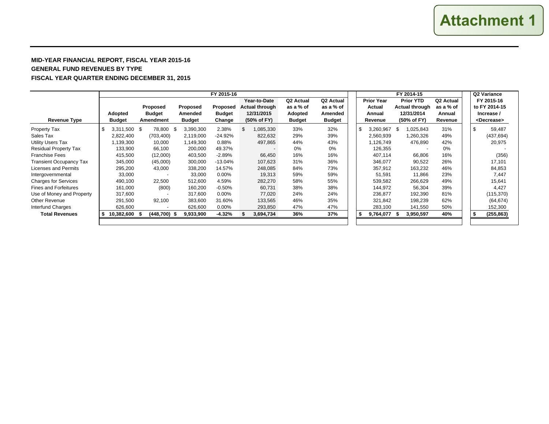#### **MID-YEAR FINANCIAL REPORT, FISCAL YEAR 2015-16 GENERAL FUND REVENUES BY TYPE FISCAL YEAR QUARTER ENDING DECEMBER 31, 2015**

|                                |                    |                |                   | FY 2015-16    |                          |                       |                       |                                      | FY 2014-15        |           |                |                  |                       |  |    | Q2 Variance           |
|--------------------------------|--------------------|----------------|-------------------|---------------|--------------------------|-----------------------|-----------------------|--------------------------------------|-------------------|-----------|----------------|------------------|-----------------------|--|----|-----------------------|
|                                |                    |                |                   |               | Year-to-Date             | Q <sub>2</sub> Actual | Q <sub>2</sub> Actual |                                      | <b>Prior Year</b> |           |                | <b>Prior YTD</b> | Q <sub>2</sub> Actual |  |    | FY 2015-16            |
|                                |                    | Proposed       | Proposed          | Proposed      | <b>Actual through</b>    | as a % of             | as a % of             |                                      |                   | Actual    | Actual through |                  | as a % of             |  |    | to FY 2014-15         |
|                                | Adopted            | <b>Budget</b>  | Amended           | <b>Budget</b> | 12/31/2015               | Adopted               | Amended               |                                      |                   | Annual    |                | 12/31/2014       | Annual                |  |    | Increase /            |
| <b>Revenue Type</b>            | <b>Budget</b>      | Amendment      | <b>Budget</b>     | Change        | (50% of FY)              | <b>Budget</b>         | <b>Budget</b>         |                                      |                   | Revenue   |                | (50% of FY)      | Revenue               |  |    | <decrease></decrease> |
| Property Tax                   | \$<br>3,311,500 \$ | 78,800         | 3,390,300<br>- \$ | 2.38%         | \$<br>1,085,330          | 33%                   | 32%                   |                                      | \$                | 3,260,967 | -\$            | 1,025,843        | 31%                   |  | \$ | 59,487                |
| Sales Tax                      | 2,822,400          | (703, 400)     | 2,119,000         | -24.92%       | 822,632                  | 29%                   | 39%                   |                                      |                   | 2,560,939 |                | 1,260,326        | 49%                   |  |    | (437, 694)            |
| <b>Utility Users Tax</b>       | 1,139,300          | 10,000         | 1,149,300         | 0.88%         | 497,865                  | 44%                   | 43%                   |                                      |                   | 1,126,749 |                | 476,890          | 42%                   |  |    | 20,975                |
| <b>Residual Property Tax</b>   | 133,900            | 66,100         | 200,000           | 49.37%        | $\overline{\phantom{0}}$ | 0%                    | 0%                    |                                      |                   | 126,355   |                |                  | 0%                    |  |    |                       |
| <b>Franchise Fees</b>          | 415,500            | (12,000)       | 403,500           | $-2.89%$      | 66,450                   | 16%                   | 16%                   |                                      |                   | 407,114   |                | 66,806           | 16%                   |  |    | (356)                 |
| <b>Transient Occupancy Tax</b> | 345,000            | (45,000)       | 300,000           | $-13.04%$     | 107,623                  | 31%                   | 36%                   |                                      |                   | 346,077   |                | 90,522           | 26%                   |  |    | 17,101                |
| Licenses and Permits           | 295,200            | 43,000         | 338,200           | 14.57%        | 248,085                  | 84%                   | 73%                   |                                      |                   | 357,912   |                | 163,232          | 46%                   |  |    | 84,853                |
| Intergovernmental              | 33,000             |                | 33,000            | 0.00%         | 19,313                   | 59%                   | 59%                   |                                      |                   | 51,591    |                | 11,866           | 23%                   |  |    | 7.447                 |
| <b>Charges for Services</b>    | 490,100            | 22,500         | 512,600           | 4.59%         | 282,270                  | 58%                   | 55%                   |                                      |                   | 539,582   |                | 266,629          | 49%                   |  |    | 15,641                |
| <b>Fines and Forfeitures</b>   | 161,000            | (800)          | 160,200           | $-0.50%$      | 60,731                   | 38%                   | 38%                   |                                      |                   | 144,972   |                | 56,304           | 39%                   |  |    | 4,427                 |
| Use of Money and Property      | 317.600            |                | 317,600           | $0.00\%$      | 77.020                   | 24%                   | 24%                   |                                      |                   | 236.877   |                | 192,390          | 81%                   |  |    | (115, 370)            |
| Other Revenue                  | 291,500            | 92,100         | 383,600           | 31.60%        | 133,565                  | 46%                   | 35%                   |                                      |                   | 321,842   |                | 198,239          | 62%                   |  |    | (64, 674)             |
| Interfund Charges              | 626,600            |                | 626,600           | 0.00%         | 293,850                  | 47%                   | 47%                   |                                      |                   | 283,100   |                | 141,550          | 50%                   |  |    | 152,300               |
| <b>Total Revenues</b>          | 10,382,600         | $(448,700)$ \$ | 9,933,900         | $-4.32%$      | 3,694,734                | 36%                   | 37%                   | 40%<br>9,764,077<br>3,950,597<br>-\$ |                   |           | \$             | (255, 863)       |                       |  |    |                       |
|                                |                    |                |                   |               |                          |                       |                       |                                      |                   |           |                |                  |                       |  |    |                       |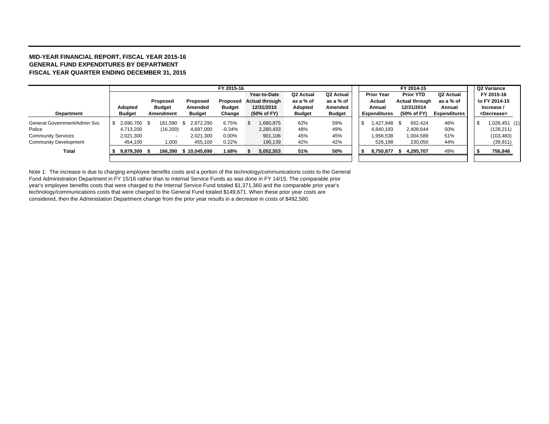#### **MID-YEAR FINANCIAL REPORT, FISCAL YEAR 2015-16 GENERAL FUND EXPENDITURES BY DEPARTMENTFISCAL YEAR QUARTER ENDING DECEMBER 31, 2015**

|                              |                |               |                   | FY 2015-16    |                       |                |               |    |                     |     | FY 2014-15       |                     |  | Q2 Variance           |  |
|------------------------------|----------------|---------------|-------------------|---------------|-----------------------|----------------|---------------|----|---------------------|-----|------------------|---------------------|--|-----------------------|--|
|                              |                |               |                   |               | Year-to-Date          | Q2 Actual      | Q2 Actual     |    | <b>Prior Year</b>   |     | <b>Prior YTD</b> | Q2 Actual           |  | FY 2015-16            |  |
|                              |                | Proposed      | Proposed          | Proposed      | <b>Actual through</b> | as a % of      | as a % of     |    | Actual              |     | Actual through   | as a % of           |  | to FY 2014-15         |  |
|                              | Adopted        | <b>Budget</b> | Amended           | <b>Budget</b> | 12/31/2015            | <b>Adopted</b> | Amended       |    | Annual              |     | 12/31/2014       | Annual              |  | Increase /            |  |
| <b>Department</b>            | <b>Budget</b>  | Amendment     | <b>Budget</b>     | Change        | (50% of FY)           | <b>Budget</b>  | <b>Budget</b> |    | <b>Expenditures</b> |     | (50% of FY)      | <b>Expenditures</b> |  | <decrease></decrease> |  |
| General Government/Admin Svc | 2,690,700 \$   | 181.590       | 2.872.290<br>- \$ | 6.75%         | 1,680,875             | 62%            | 59%           | -9 | .427.948            | \$. | 652.424          | 46%                 |  | $1,028,451$ (1)       |  |
| Police                       | 4,713,200      | (16, 200)     | 4,697,000         | $-0.34%$      | 2,280,433             | 48%            | 49%           |    | 4,840,193           |     | 2,408,644        | 50%                 |  | (128, 211)            |  |
| <b>Community Services</b>    | 2,021,300      |               | 2,021,300         | $0.00\%$      | 901,106               | 45%            | 45%           |    | .956,538            |     | 1,004,589        | 51%                 |  | (103, 483)            |  |
| <b>Community Development</b> | 454.100        | 1,000         | 455,100           | 0.22%         | 190,139               | 42%            | 42%           |    | 526.198             |     | 230,050          | 44%                 |  | (39, 911)             |  |
| Total                        | $9,879,300$ \$ | 166.390       | \$10.045.690      | 1.68%         | 5,052,553             | 51%            | 50%           |    | 8,750,877           |     | 4,295,707        | 49%                 |  | 756,846               |  |
|                              |                |               |                   |               |                       |                |               |    |                     |     |                  |                     |  |                       |  |

Note 1: The increase is due to charging employee benefits costs and a portion of the technology/communications costs to the General Fund Administration Department in FY 15/16 rather than to Internal Service Funds as was done in FY 14/15. The comparable prior year's employee benefits costs that were charged to the Internal Service Fund totaled \$1,371,360 and the comparable prior year's technology/communications costs that were charged to the General Fund totaled \$149,671. When these prior year costs are considered, then the Administation Department change from the prior year results in a decrease in costs of \$492,580.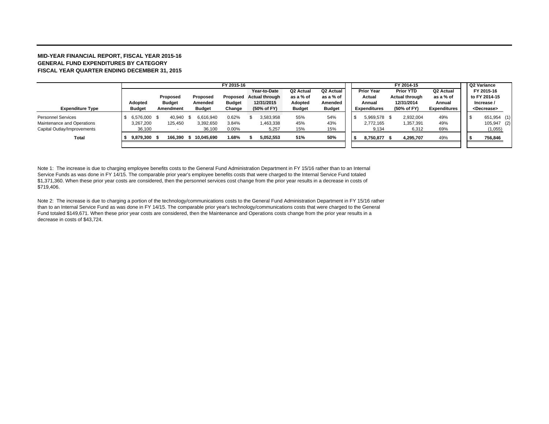#### **MID-YEAR FINANCIAL REPORT, FISCAL YEAR 2015-16 GENERAL FUND EXPENDITURES BY CATEGORY FISCAL YEAR QUARTER ENDING DECEMBER 31, 2015**

|                             |               | FY 2015-16        |               |         |               |               |  |                       |               |                       |                     | Q2 Variance      |                |                       |                       |             |  |
|-----------------------------|---------------|-------------------|---------------|---------|---------------|---------------|--|-----------------------|---------------|-----------------------|---------------------|------------------|----------------|-----------------------|-----------------------|-------------|--|
|                             |               |                   |               |         |               |               |  | Year-to-Date          | Q2 Actual     | Q <sub>2</sub> Actual | <b>Prior Year</b>   | <b>Prior YTD</b> |                | Q <sub>2</sub> Actual | FY 2015-16            |             |  |
|                             |               |                   | Proposed      |         | Proposed      | Proposed      |  | <b>Actual through</b> | as a % of     | as a % of             | Actual              |                  | Actual through | as a % of             | to FY 2014-15         |             |  |
|                             | Adopted       |                   | <b>Budget</b> |         | Amended       | <b>Budget</b> |  | 12/31/2015            | Adopted       | Amended               | Annual              |                  | 12/31/2014     | Annual                | Increase /            |             |  |
| <b>Expenditure Type</b>     | <b>Budget</b> |                   | Amendment     |         | <b>Budget</b> | Change        |  | (50% of FY)           | <b>Budget</b> | <b>Budget</b>         | <b>Expenditures</b> |                  | (50% of FY)    | <b>Expenditures</b>   | <decrease></decrease> |             |  |
| <b>Personnel Services</b>   |               | 6.576.000<br>- \$ |               | 40.940  | 6.616.940     | 0.62%         |  | 3,583,958             | 55%           | 54%                   | 5,969,578 \$        |                  | 2,932,004      | 49%                   | - 35                  | 651,954 (1) |  |
| Maintenance and Operations  | 3.267.200     |                   |               | 125,450 | 3,392,650     | 3.84%         |  | 1,463,338             | 45%           | 43%                   | 2,772,165           |                  | 1,357,391      | 49%                   |                       | 105,947 (2) |  |
| Capital Outlay/Improvements |               | 36,100            |               |         | 36,100        | 0.00%         |  | 5,257                 | 15%           | 15%                   | 9,134               |                  | 6,312          | 69%                   |                       | (1,055)     |  |
| Total                       |               | 9,879,300         |               | 166.390 | 10.045.690    | 1.68%         |  | 5,052,553             | 51%           | 50%                   | 8,750,877 \$        |                  | 4,295,707      | 49%                   | 756,846               |             |  |
|                             |               |                   |               |         |               |               |  |                       |               |                       |                     |                  |                |                       |                       |             |  |

Note 1: The increase is due to charging employee benefits costs to the General Fund Administration Department in FY 15/16 rather than to an Internal Service Funds as was done in FY 14/15. The comparable prior year's employee benefits costs that were charged to the Internal Service Fund totaled \$1,371,360. When these prior year costs are considered, then the personnel services cost change from the prior year results in a decrease in costs of \$719,406.

Note 2: The increase is due to charging a portion of the technology/communications costs to the General Fund Administration Department in FY 15/16 rather than to an Internal Service Fund as was done in FY 14/15. The comparable prior year's technology/communications costs that were charged to the General Fund totaled \$149,671. When these prior year costs are considered, then the Maintenance and Operations costs change from the prior year results in a decrease in costs of \$43,724.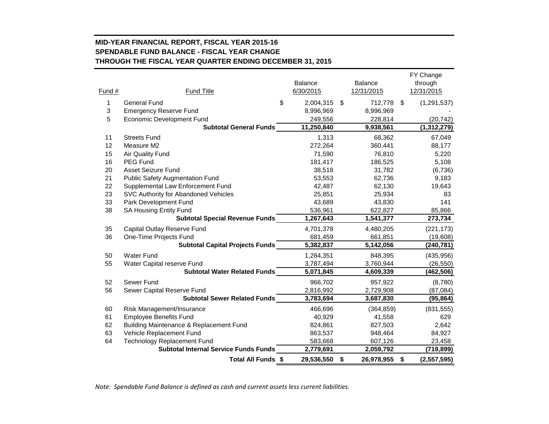# **MID-YEAR FINANCIAL REPORT, FISCAL YEAR 2015-16 SPENDABLE FUND BALANCE - FISCAL YEAR CHANGE THROUGH THE FISCAL YEAR QUARTER ENDING DECEMBER 31, 2015**

| \$<br>1<br><b>General Fund</b><br>2,004,315<br>\$<br>\$<br>712,778<br>3<br><b>Emergency Reserve Fund</b><br>8,996,969<br>8,996,969<br>5<br><b>Economic Development Fund</b><br>249,556<br>228,814<br>11,250,840<br><b>Subtotal General Funds</b><br>9,938,561<br>11<br><b>Streets Fund</b><br>1,313<br>68,362<br>12<br>272,264<br>Measure M2<br>360,441<br>15<br>71,590<br><b>Air Quality Fund</b><br>76,810<br>16<br><b>PEG Fund</b><br>181,417<br>186,525<br>20<br><b>Asset Seizure Fund</b><br>38,518<br>31,782<br>21<br><b>Public Safety Augmentation Fund</b><br>53,553<br>62,736<br>22<br>Supplemental Law Enforcement Fund<br>42,487<br>62,130<br>23<br>SVC Authority for Abandoned Vehicles<br>25,851<br>25,934<br>33<br>Park Development Fund<br>43,689<br>43,830<br>38<br>SA Housing Entity Fund<br>536,961<br>622,827<br>1,267,643<br><b>Subtotal Special Revenue Funds</b><br>1,541,377<br>35<br>Capital Outlay Reserve Fund<br>4,701,378<br>4,480,205<br>36<br>One-Time Projects Fund<br>681,459<br>661,851<br><b>Subtotal Capital Projects Funds</b><br>5,382,837<br>5,142,056<br>50<br><b>Water Fund</b><br>1,284,351<br>848,395<br>55<br>3,787,494<br>Water Capital reserve Fund<br>3,760,944<br><b>Subtotal Water Related Funds</b><br>5,071,845<br>4,609,339<br>52<br>Sewer Fund<br>966,702<br>957,922<br>56<br>Sewer Capital Reserve Fund<br>2,816,992<br>2,729,908<br>3,783,694<br><b>Subtotal Sewer Related Funds</b><br>3,687,830<br>466,696<br>60<br>Risk Management/Insurance<br>(364, 859)<br>61<br><b>Employee Benefits Fund</b><br>40,929<br>41,558<br>62<br>Building Maintenance & Replacement Fund<br>824,861<br>827,503<br>63<br>Vehicle Replacement Fund<br>863,537<br>948,464<br>64<br>583,668<br><b>Technology Replacement Fund</b><br>607,126<br><b>Subtotal Internal Service Funds Funds</b><br>2,779,691<br>2,059,792<br>Total All Funds \$<br>29,536,550<br>\$<br>26,978,955<br>\$ |        |                   | Balance   | <b>Balance</b> | FY Change<br>through |
|-------------------------------------------------------------------------------------------------------------------------------------------------------------------------------------------------------------------------------------------------------------------------------------------------------------------------------------------------------------------------------------------------------------------------------------------------------------------------------------------------------------------------------------------------------------------------------------------------------------------------------------------------------------------------------------------------------------------------------------------------------------------------------------------------------------------------------------------------------------------------------------------------------------------------------------------------------------------------------------------------------------------------------------------------------------------------------------------------------------------------------------------------------------------------------------------------------------------------------------------------------------------------------------------------------------------------------------------------------------------------------------------------------------------------------------------------------------------------------------------------------------------------------------------------------------------------------------------------------------------------------------------------------------------------------------------------------------------------------------------------------------------------------------------------------------------------------------------------------------------------------------------------------------------------|--------|-------------------|-----------|----------------|----------------------|
|                                                                                                                                                                                                                                                                                                                                                                                                                                                                                                                                                                                                                                                                                                                                                                                                                                                                                                                                                                                                                                                                                                                                                                                                                                                                                                                                                                                                                                                                                                                                                                                                                                                                                                                                                                                                                                                                                                                         | Fund # | <b>Fund Title</b> | 6/30/2015 | 12/31/2015     | 12/31/2015           |
|                                                                                                                                                                                                                                                                                                                                                                                                                                                                                                                                                                                                                                                                                                                                                                                                                                                                                                                                                                                                                                                                                                                                                                                                                                                                                                                                                                                                                                                                                                                                                                                                                                                                                                                                                                                                                                                                                                                         |        |                   |           |                | (1, 291, 537)        |
|                                                                                                                                                                                                                                                                                                                                                                                                                                                                                                                                                                                                                                                                                                                                                                                                                                                                                                                                                                                                                                                                                                                                                                                                                                                                                                                                                                                                                                                                                                                                                                                                                                                                                                                                                                                                                                                                                                                         |        |                   |           |                |                      |
|                                                                                                                                                                                                                                                                                                                                                                                                                                                                                                                                                                                                                                                                                                                                                                                                                                                                                                                                                                                                                                                                                                                                                                                                                                                                                                                                                                                                                                                                                                                                                                                                                                                                                                                                                                                                                                                                                                                         |        |                   |           |                | (20, 742)            |
|                                                                                                                                                                                                                                                                                                                                                                                                                                                                                                                                                                                                                                                                                                                                                                                                                                                                                                                                                                                                                                                                                                                                                                                                                                                                                                                                                                                                                                                                                                                                                                                                                                                                                                                                                                                                                                                                                                                         |        |                   |           |                | (1, 312, 279)        |
|                                                                                                                                                                                                                                                                                                                                                                                                                                                                                                                                                                                                                                                                                                                                                                                                                                                                                                                                                                                                                                                                                                                                                                                                                                                                                                                                                                                                                                                                                                                                                                                                                                                                                                                                                                                                                                                                                                                         |        |                   |           |                | 67,049               |
|                                                                                                                                                                                                                                                                                                                                                                                                                                                                                                                                                                                                                                                                                                                                                                                                                                                                                                                                                                                                                                                                                                                                                                                                                                                                                                                                                                                                                                                                                                                                                                                                                                                                                                                                                                                                                                                                                                                         |        |                   |           |                | 88,177               |
|                                                                                                                                                                                                                                                                                                                                                                                                                                                                                                                                                                                                                                                                                                                                                                                                                                                                                                                                                                                                                                                                                                                                                                                                                                                                                                                                                                                                                                                                                                                                                                                                                                                                                                                                                                                                                                                                                                                         |        |                   |           |                | 5,220                |
|                                                                                                                                                                                                                                                                                                                                                                                                                                                                                                                                                                                                                                                                                                                                                                                                                                                                                                                                                                                                                                                                                                                                                                                                                                                                                                                                                                                                                                                                                                                                                                                                                                                                                                                                                                                                                                                                                                                         |        |                   |           |                | 5,108                |
|                                                                                                                                                                                                                                                                                                                                                                                                                                                                                                                                                                                                                                                                                                                                                                                                                                                                                                                                                                                                                                                                                                                                                                                                                                                                                                                                                                                                                                                                                                                                                                                                                                                                                                                                                                                                                                                                                                                         |        |                   |           |                | (6,736)              |
|                                                                                                                                                                                                                                                                                                                                                                                                                                                                                                                                                                                                                                                                                                                                                                                                                                                                                                                                                                                                                                                                                                                                                                                                                                                                                                                                                                                                                                                                                                                                                                                                                                                                                                                                                                                                                                                                                                                         |        |                   |           |                | 9,183                |
|                                                                                                                                                                                                                                                                                                                                                                                                                                                                                                                                                                                                                                                                                                                                                                                                                                                                                                                                                                                                                                                                                                                                                                                                                                                                                                                                                                                                                                                                                                                                                                                                                                                                                                                                                                                                                                                                                                                         |        |                   |           |                | 19,643               |
|                                                                                                                                                                                                                                                                                                                                                                                                                                                                                                                                                                                                                                                                                                                                                                                                                                                                                                                                                                                                                                                                                                                                                                                                                                                                                                                                                                                                                                                                                                                                                                                                                                                                                                                                                                                                                                                                                                                         |        |                   |           |                | 83                   |
|                                                                                                                                                                                                                                                                                                                                                                                                                                                                                                                                                                                                                                                                                                                                                                                                                                                                                                                                                                                                                                                                                                                                                                                                                                                                                                                                                                                                                                                                                                                                                                                                                                                                                                                                                                                                                                                                                                                         |        |                   |           |                | 141                  |
|                                                                                                                                                                                                                                                                                                                                                                                                                                                                                                                                                                                                                                                                                                                                                                                                                                                                                                                                                                                                                                                                                                                                                                                                                                                                                                                                                                                                                                                                                                                                                                                                                                                                                                                                                                                                                                                                                                                         |        |                   |           |                | 85,866               |
|                                                                                                                                                                                                                                                                                                                                                                                                                                                                                                                                                                                                                                                                                                                                                                                                                                                                                                                                                                                                                                                                                                                                                                                                                                                                                                                                                                                                                                                                                                                                                                                                                                                                                                                                                                                                                                                                                                                         |        |                   |           |                | 273,734              |
|                                                                                                                                                                                                                                                                                                                                                                                                                                                                                                                                                                                                                                                                                                                                                                                                                                                                                                                                                                                                                                                                                                                                                                                                                                                                                                                                                                                                                                                                                                                                                                                                                                                                                                                                                                                                                                                                                                                         |        |                   |           |                | (221, 173)           |
|                                                                                                                                                                                                                                                                                                                                                                                                                                                                                                                                                                                                                                                                                                                                                                                                                                                                                                                                                                                                                                                                                                                                                                                                                                                                                                                                                                                                                                                                                                                                                                                                                                                                                                                                                                                                                                                                                                                         |        |                   |           |                | (19,608)             |
|                                                                                                                                                                                                                                                                                                                                                                                                                                                                                                                                                                                                                                                                                                                                                                                                                                                                                                                                                                                                                                                                                                                                                                                                                                                                                                                                                                                                                                                                                                                                                                                                                                                                                                                                                                                                                                                                                                                         |        |                   |           |                | (240, 781)           |
|                                                                                                                                                                                                                                                                                                                                                                                                                                                                                                                                                                                                                                                                                                                                                                                                                                                                                                                                                                                                                                                                                                                                                                                                                                                                                                                                                                                                                                                                                                                                                                                                                                                                                                                                                                                                                                                                                                                         |        |                   |           |                | (435, 956)           |
|                                                                                                                                                                                                                                                                                                                                                                                                                                                                                                                                                                                                                                                                                                                                                                                                                                                                                                                                                                                                                                                                                                                                                                                                                                                                                                                                                                                                                                                                                                                                                                                                                                                                                                                                                                                                                                                                                                                         |        |                   |           |                | (26, 550)            |
|                                                                                                                                                                                                                                                                                                                                                                                                                                                                                                                                                                                                                                                                                                                                                                                                                                                                                                                                                                                                                                                                                                                                                                                                                                                                                                                                                                                                                                                                                                                                                                                                                                                                                                                                                                                                                                                                                                                         |        |                   |           |                | (462,506)            |
|                                                                                                                                                                                                                                                                                                                                                                                                                                                                                                                                                                                                                                                                                                                                                                                                                                                                                                                                                                                                                                                                                                                                                                                                                                                                                                                                                                                                                                                                                                                                                                                                                                                                                                                                                                                                                                                                                                                         |        |                   |           |                | (8,780)              |
|                                                                                                                                                                                                                                                                                                                                                                                                                                                                                                                                                                                                                                                                                                                                                                                                                                                                                                                                                                                                                                                                                                                                                                                                                                                                                                                                                                                                                                                                                                                                                                                                                                                                                                                                                                                                                                                                                                                         |        |                   |           |                | (87,084)             |
|                                                                                                                                                                                                                                                                                                                                                                                                                                                                                                                                                                                                                                                                                                                                                                                                                                                                                                                                                                                                                                                                                                                                                                                                                                                                                                                                                                                                                                                                                                                                                                                                                                                                                                                                                                                                                                                                                                                         |        |                   |           |                | (95, 864)            |
|                                                                                                                                                                                                                                                                                                                                                                                                                                                                                                                                                                                                                                                                                                                                                                                                                                                                                                                                                                                                                                                                                                                                                                                                                                                                                                                                                                                                                                                                                                                                                                                                                                                                                                                                                                                                                                                                                                                         |        |                   |           |                | (831, 555)           |
|                                                                                                                                                                                                                                                                                                                                                                                                                                                                                                                                                                                                                                                                                                                                                                                                                                                                                                                                                                                                                                                                                                                                                                                                                                                                                                                                                                                                                                                                                                                                                                                                                                                                                                                                                                                                                                                                                                                         |        |                   |           |                | 629                  |
|                                                                                                                                                                                                                                                                                                                                                                                                                                                                                                                                                                                                                                                                                                                                                                                                                                                                                                                                                                                                                                                                                                                                                                                                                                                                                                                                                                                                                                                                                                                                                                                                                                                                                                                                                                                                                                                                                                                         |        |                   |           |                | 2,642                |
|                                                                                                                                                                                                                                                                                                                                                                                                                                                                                                                                                                                                                                                                                                                                                                                                                                                                                                                                                                                                                                                                                                                                                                                                                                                                                                                                                                                                                                                                                                                                                                                                                                                                                                                                                                                                                                                                                                                         |        |                   |           |                | 84,927               |
|                                                                                                                                                                                                                                                                                                                                                                                                                                                                                                                                                                                                                                                                                                                                                                                                                                                                                                                                                                                                                                                                                                                                                                                                                                                                                                                                                                                                                                                                                                                                                                                                                                                                                                                                                                                                                                                                                                                         |        |                   |           |                | 23,458               |
|                                                                                                                                                                                                                                                                                                                                                                                                                                                                                                                                                                                                                                                                                                                                                                                                                                                                                                                                                                                                                                                                                                                                                                                                                                                                                                                                                                                                                                                                                                                                                                                                                                                                                                                                                                                                                                                                                                                         |        |                   |           |                | (719,899)            |
|                                                                                                                                                                                                                                                                                                                                                                                                                                                                                                                                                                                                                                                                                                                                                                                                                                                                                                                                                                                                                                                                                                                                                                                                                                                                                                                                                                                                                                                                                                                                                                                                                                                                                                                                                                                                                                                                                                                         |        |                   |           |                | (2,557,595)          |

*Note: Spendable Fund Balance is defined as cash and current assets less current liabilities.*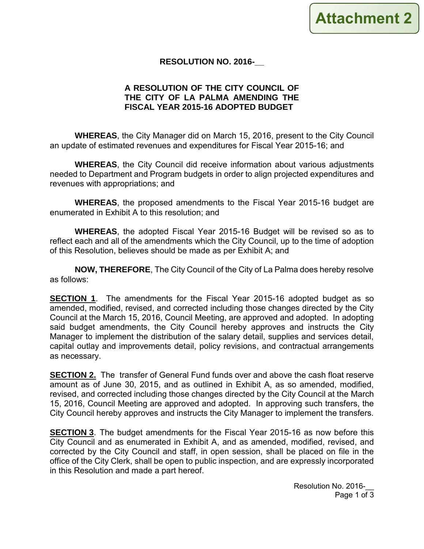

# **RESOLUTION NO. 2016-\_\_**

# **A RESOLUTION OF THE CITY COUNCIL OF THE CITY OF LA PALMA AMENDING THE FISCAL YEAR 2015-16 ADOPTED BUDGET**

**WHEREAS**, the City Manager did on March 15, 2016, present to the City Council an update of estimated revenues and expenditures for Fiscal Year 2015-16; and

**WHEREAS**, the City Council did receive information about various adjustments needed to Department and Program budgets in order to align projected expenditures and revenues with appropriations; and

**WHEREAS**, the proposed amendments to the Fiscal Year 2015-16 budget are enumerated in Exhibit A to this resolution; and

**WHEREAS**, the adopted Fiscal Year 2015-16 Budget will be revised so as to reflect each and all of the amendments which the City Council, up to the time of adoption of this Resolution, believes should be made as per Exhibit A; and

**NOW, THEREFORE**, The City Council of the City of La Palma does hereby resolve as follows:

**SECTION 1.** The amendments for the Fiscal Year 2015-16 adopted budget as so amended, modified, revised, and corrected including those changes directed by the City Council at the March 15, 2016, Council Meeting, are approved and adopted. In adopting said budget amendments, the City Council hereby approves and instructs the City Manager to implement the distribution of the salary detail, supplies and services detail, capital outlay and improvements detail, policy revisions, and contractual arrangements as necessary.

**SECTION 2.** The transfer of General Fund funds over and above the cash float reserve amount as of June 30, 2015, and as outlined in Exhibit A, as so amended, modified, revised, and corrected including those changes directed by the City Council at the March 15, 2016, Council Meeting are approved and adopted. In approving such transfers, the City Council hereby approves and instructs the City Manager to implement the transfers.

**SECTION 3**. The budget amendments for the Fiscal Year 2015-16 as now before this City Council and as enumerated in Exhibit A, and as amended, modified, revised, and corrected by the City Council and staff, in open session, shall be placed on file in the office of the City Clerk, shall be open to public inspection, and are expressly incorporated in this Resolution and made a part hereof.

> Resolution No. 2016-Page 1 of 3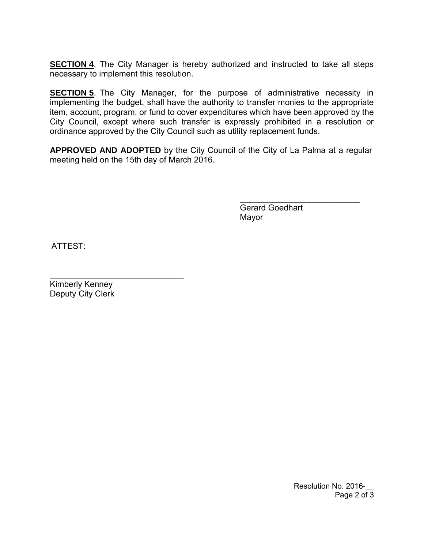**SECTION 4**. The City Manager is hereby authorized and instructed to take all steps necessary to implement this resolution.

**SECTION 5**. The City Manager, for the purpose of administrative necessity in implementing the budget, shall have the authority to transfer monies to the appropriate item, account, program, or fund to cover expenditures which have been approved by the City Council, except where such transfer is expressly prohibited in a resolution or ordinance approved by the City Council such as utility replacement funds.

**APPROVED AND ADOPTED** by the City Council of the City of La Palma at a regular meeting held on the 15th day of March 2016.

> Gerard Goedhart Mayor

 $\mathcal{L}=\mathcal{L}^{\mathcal{L}}$ 

ATTEST:

 $\mathcal{L}_\text{max}$  , where  $\mathcal{L}_\text{max}$  and  $\mathcal{L}_\text{max}$  and  $\mathcal{L}_\text{max}$ Kimberly Kenney Deputy City Clerk

> Resolution No. 2016-Page 2 of 3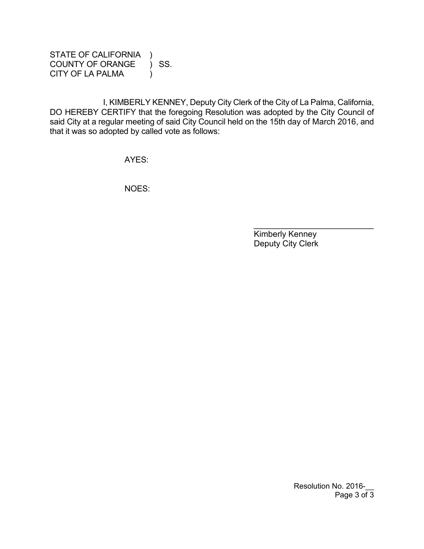STATE OF CALIFORNIA ) COUNTY OF ORANGE ) SS. CITY OF LA PALMA (1)

I, KIMBERLY KENNEY, Deputy City Clerk of the City of La Palma, California, DO HEREBY CERTIFY that the foregoing Resolution was adopted by the City Council of said City at a regular meeting of said City Council held on the 15th day of March 2016, and that it was so adopted by called vote as follows:

AYES:

NOES:

 Kimberly Kenney Deputy City Clerk

\_\_\_\_\_\_\_\_\_\_\_\_\_\_\_\_\_\_\_\_\_\_\_\_\_\_

Resolution No. 2016-Page 3 of 3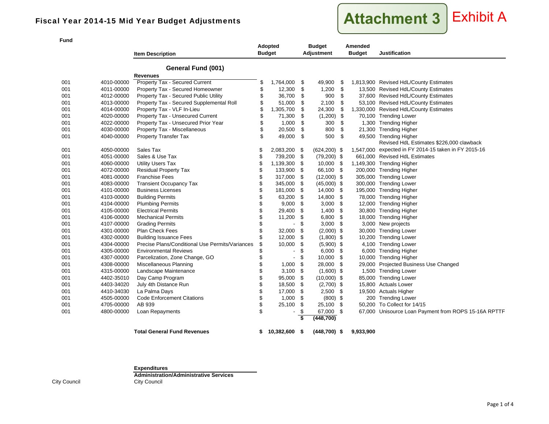

**Item Description Adopted Budget Budget Adjustment AmendedBudget Justification General Fund (001) Revenues**001 4010-00000 Property Tax - Secured Current  $\frac{1}{2}$  1,764,000 \$ 49,900 \$ 1,813,900 Revised HdL/County Estimates 001 4011-00000 Property Tax - Secured Homeowner  $\frac{12,300}{9}$  12,300 \$ 1,200 \$ 13,500 Revised HdL/County Estimates 001 4012-00000 Property Tax - Secured Public Utility 36,700 \$ 900 \$ 37,600 Revised HdL/County Estimates 001 4013-00000 Property Tax - Secured Supplemental Roll  $$51,000 $2,100 $5,100$  Revised HdL/County Estimates 001 4014-00000 Property Tax - VLF In-Lieu 1,305,700 \$ 24,300 \$ 1,330,000 Revised HdL/County Estimates 001 4020-00000 Property Tax - Unsecured Current  $$71,300 $$  (1,200) \$70,100 Trending Lower 001 4022-00000 Property Tax - Unsecured Prior Year 5 4,000 \$ 300 \$ 1,300 Trending Higher 001 4030-00000 Property Tax - Miscellaneous 3 30.500 \$ 800 \$ 21,300 Trending Higher 001 4040-00000 Property Transfer Tax  $$ 49,000 $ 500 $ 49,500$  Trending Higher 001 4050-00000 Sales Tax 2,083,200 \$ (624,200) \$ 1,547,000 \$ Revised HdL Estimates \$226,000 clawback 1,547,000 expected in FY 2014-15 taken in FY 2015-16 001 4051-00000 Sales & Use Tax 60 1 200 1 3 739,200 \$ 739,200 (79,200) \$ 661,000 Revised HdL Estimates 001 4060-00000 Utility Users Tax 1,139,300 \$ 1,139,300 \$ 1,149,300 Trending Higher 001 4072-00000 Residual Property Tax 133,900 \$ 66,100 \$ 200,000 Trending Higher 001 4081-00000 Franchise Fees 317,000 \$ (12,000) \$ 305,000 Trending Lower 001 4083-00000 Transient Occupancy Tax 345,000 \$ (45,000) \$ 300,000 Trending Lower 001 4101-00000 Business Licenses 181,000 \$ 181,000 \$ 195,000 Trending Higher 001 4103-00000 Building Permits 63,200 \$ 14,800 \$ 78,000 Trending Higher 001 4104-00000 Plumbing Permits 9,000 \$ 3,000 \$ 12,000 \$ Trending Higher 001 4105-00000 Electrical Permits 29,400 \$ 1,400 \$ 30,800 Trending Higher 001 11.200 \$ 4106-00000 Mechanical Permits 11.200 \$ 6,800 \$ 18,000 Trending Higher 001 4107-00000 Grading Permits - \$ 3,000 \$ 3,000 New projects 001 4301-00000 Plan Check Fees 32,000 \$ (2,000) \$ 30,000 Trending Lower 001 4302-00000 Building Issuance Fees 5 12,000 \$ (1,800) \$ 10,200 Trending Lower 001 4304-00000 Precise Plans/Conditional Use Permits/Variances \$ 10,000 \$ (5,900) \$ 4,100 Trending Lower 001 4305-00000 Environmental Reviews - \$ 6,000 \$ 6,000 \$ Trending Higher 001 4307-00000 Parcelization, Zone Change, GO 5 410,000 \$ 10,000 Trending Higher 001 4308-00000 Miscellaneous Planning 1,000 \$ 28,000 \$ 28,000 \$ 29,000 Projected Business Use Changed 001 1315-00000 Landscape Maintenance 1 1 \$ 3,100 \$ (1,600) \$ 1,500 Trending Lower<br>001 14402-35010 Day Camp Program 1 1 \$ 95,000 \$ (10,000) \$ 85,000 Trending Lower 001 4402-35010 Day Camp Program 95 05,000 \$ (10,000) \$ 85,000 Trending Lower 001 4403-34020 July 4th Distance Run 18,500 \$ 18,500 \$ (2,700) \$ 15,800 Actuals Lower 001 4410-34030 La Palma Days 17,000 \$ 2,500 \$ 19,500 Actuals Higher 001 4505-00000 Code Enforcement Citations 1,000 \$ (800) \$ 200 Trending Lower 001 4705-00000 AB 939 25,100 \$ 25,100 \$ 50,200 To Collect for 14/15 001 4800-00000 Loan Repayments - \$ 67,000 \$ 67,000 Unisource Loan Payment from ROPS 15-16A RPTTF **\$ (448,700)**

**Total General Fund Revenues 10,382,600 \$ (448,700) \$ 9,933,900 \$** 

**Expenditures**

**Administration/Administrative Services**City Council City Council

**Fund**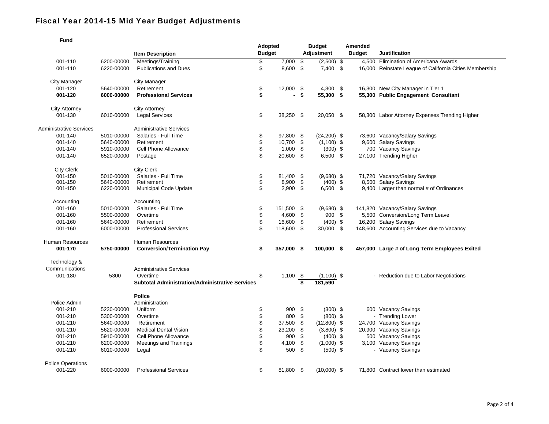| <b>Fund</b>                    |                          |                                                        |                |                     |      |                        |  |               |                                                                  |
|--------------------------------|--------------------------|--------------------------------------------------------|----------------|---------------------|------|------------------------|--|---------------|------------------------------------------------------------------|
|                                |                          |                                                        | <b>Adopted</b> |                     |      | <b>Budget</b>          |  | Amended       |                                                                  |
|                                |                          | <b>Item Description</b>                                | <b>Budget</b>  |                     |      | <b>Adjustment</b>      |  | <b>Budget</b> | <b>Justification</b>                                             |
| 001-110                        | 6200-00000               | Meetings/Training                                      | \$             | 7,000               | \$   | $(2,500)$ \$           |  |               | 4,500 Elimination of Americana Awards                            |
| 001-110                        | 6220-00000               | <b>Publications and Dues</b>                           | \$             | 8,600 \$            |      | 7,400 \$               |  |               | 16,000 Reinstate League of California Cities Membership          |
|                                |                          |                                                        |                |                     |      |                        |  |               |                                                                  |
| <b>City Manager</b>            |                          | City Manager                                           |                |                     |      |                        |  |               |                                                                  |
| 001-120                        | 5640-00000               | Retirement                                             | \$             | $12,000$ \$         |      | $4,300$ \$             |  |               | 16,300 New City Manager in Tier 1                                |
| 001-120                        | 6000-00000               | <b>Professional Services</b>                           | \$             |                     | - \$ | 55,300 \$              |  |               | 55,300 Public Engagement Consultant                              |
|                                |                          |                                                        |                |                     |      |                        |  |               |                                                                  |
| <b>City Attorney</b>           |                          | <b>City Attorney</b>                                   |                |                     |      |                        |  |               |                                                                  |
| 001-130                        | 6010-00000               | <b>Legal Services</b>                                  | \$             | 38,250 \$           |      | 20,050 \$              |  |               | 58,300 Labor Attorney Expenses Trending Higher                   |
|                                |                          |                                                        |                |                     |      |                        |  |               |                                                                  |
| <b>Administrative Services</b> |                          | <b>Administrative Services</b>                         |                |                     |      |                        |  |               |                                                                  |
| 001-140                        | 5010-00000               | Salaries - Full Time                                   | \$             | 97,800 \$           |      | $(24,200)$ \$          |  |               | 73,600 Vacancy/Salary Savings                                    |
| 001-140                        | 5640-00000               | Retirement                                             | \$             | 10,700              | \$   | $(1,100)$ \$           |  |               | 9,600 Salary Savings                                             |
| 001-140                        | 5910-00000               | Cell Phone Allowance                                   | \$             | $1,000$ \$          |      | $(300)$ \$             |  |               | 700 Vacancy Savings                                              |
| 001-140                        | 6520-00000               | Postage                                                | \$             | 20,600 \$           |      | $6,500$ \$             |  |               | 27,100 Trending Higher                                           |
|                                |                          |                                                        |                |                     |      |                        |  |               |                                                                  |
| <b>City Clerk</b>              |                          | <b>City Clerk</b>                                      |                |                     |      |                        |  |               |                                                                  |
| 001-150<br>001-150             | 5010-00000               | Salaries - Full Time<br>Retirement                     | \$             | 81,400 \$           | \$   | $(9,680)$ \$           |  |               | 71,720 Vacancy/Salary Savings                                    |
| 001-150                        | 5640-00000<br>6220-00000 | <b>Municipal Code Update</b>                           | \$             | 8,900<br>$2,900$ \$ |      | $(400)$ \$<br>6,500 \$ |  |               | 8,500 Salary Savings<br>9,400 Larger than normal # of Ordinances |
|                                |                          |                                                        |                |                     |      |                        |  |               |                                                                  |
| Accounting                     |                          | Accounting                                             |                |                     |      |                        |  |               |                                                                  |
| 001-160                        | 5010-00000               | Salaries - Full Time                                   | \$             | 151,500 \$          |      | $(9,680)$ \$           |  |               | 141,820 Vacancy/Salary Savings                                   |
| 001-160                        | 5500-00000               | Overtime                                               | \$             | 4,600 \$            |      | $900 \, \text{S}$      |  |               | 5,500 Conversion/Long Term Leave                                 |
| 001-160                        | 5640-00000               | Retirement                                             | \$             | 16,600 \$           |      | $(400)$ \$             |  |               | 16,200 Salary Savings                                            |
| 001-160                        | 6000-00000               | <b>Professional Services</b>                           | \$             | 118,600 \$          |      | 30,000 \$              |  |               | 148,600 Accounting Services due to Vacancy                       |
|                                |                          |                                                        |                |                     |      |                        |  |               |                                                                  |
| Human Resources                |                          | Human Resources                                        |                |                     |      |                        |  |               |                                                                  |
| 001-170                        | 5750-00000               | <b>Conversion/Termination Pay</b>                      | \$             | 357,000 \$          |      | 100,000 \$             |  |               | 457,000 Large # of Long Term Employees Exited                    |
|                                |                          |                                                        |                |                     |      |                        |  |               |                                                                  |
| Technology &                   |                          |                                                        |                |                     |      |                        |  |               |                                                                  |
| Communications                 |                          | <b>Administrative Services</b>                         |                |                     |      |                        |  |               |                                                                  |
| 001-180                        | 5300                     | Overtime                                               | \$             | $1,100$ \$          |      | $(1,100)$ \$           |  |               | - Reduction due to Labor Negotiations                            |
|                                |                          | <b>Subtotal Administration/Administrative Services</b> |                |                     | s    | 181,590                |  |               |                                                                  |
|                                |                          | <b>Police</b>                                          |                |                     |      |                        |  |               |                                                                  |
| Police Admin                   |                          | Administration                                         |                |                     |      |                        |  |               |                                                                  |
| 001-210                        | 5230-00000               | Uniform                                                | \$             | $900 \text{ }$ \$   |      | $(300)$ \$             |  |               | 600 Vacancy Savings                                              |
| 001-210                        | 5300-00000               | Overtime                                               | \$             | 800                 | -\$  | $(800)$ \$             |  |               | - Trending Lower                                                 |
| 001-210                        | 5640-00000               | Retirement                                             | \$             | 37,500              | \$   | $(12,800)$ \$          |  |               | 24,700 Vacancy Savings                                           |
| 001-210                        | 5620-00000               | <b>Medical Dental Vision</b>                           | \$             | 23,200              | \$   | $(3,800)$ \$           |  |               | 20,900 Vacancy Savings                                           |
| 001-210                        | 5910-00000               | Cell Phone Allowance                                   | \$             | 900                 | \$   | $(400)$ \$             |  |               | 500 Vacancy Savings                                              |
| 001-210                        | 6200-00000               | Meetings and Trainings                                 | \$             | 4,100               | \$   | $(1,000)$ \$           |  |               | 3,100 Vacancy Savings                                            |
| 001-210                        | 6010-00000               | Legal                                                  | \$             | 500 \$              |      | $(500)$ \$             |  |               | - Vacancy Savings                                                |
|                                |                          |                                                        |                |                     |      |                        |  |               |                                                                  |
| <b>Police Operations</b>       |                          |                                                        |                |                     |      |                        |  |               |                                                                  |
| 001-220                        | 6000-00000               | <b>Professional Services</b>                           | \$             | 81,800 \$           |      | $(10,000)$ \$          |  |               | 71.800 Contract lower than estimated                             |
|                                |                          |                                                        |                |                     |      |                        |  |               |                                                                  |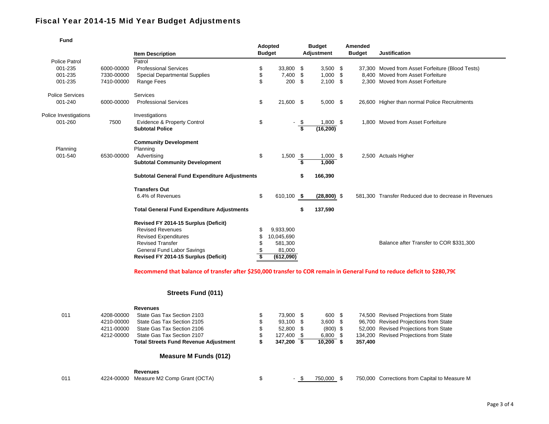| <b>Fund</b>            |            |                                                      | Adopted<br><b>Budget</b> |                         | <b>Budget</b> | Amended<br><b>Budget</b> |  | <b>Justification</b>                                 |
|------------------------|------------|------------------------------------------------------|--------------------------|-------------------------|---------------|--------------------------|--|------------------------------------------------------|
|                        |            | <b>Item Description</b>                              |                          |                         | Adjustment    |                          |  |                                                      |
| <b>Police Patrol</b>   |            | Patrol                                               |                          |                         |               |                          |  |                                                      |
| 001-235                | 6000-00000 | <b>Professional Services</b>                         | \$<br>33,800 \$          |                         | $3,500$ \$    |                          |  | 37,300 Moved from Asset Forfeiture (Blood Tests)     |
| 001-235                | 7330-00000 | <b>Special Departmental Supplies</b>                 | \$<br>7,400 \$           |                         | $1,000$ \$    |                          |  | 8.400 Moved from Asset Forfeiture                    |
| 001-235                | 7410-00000 | Range Fees                                           | \$<br>200                | -\$                     | $2,100$ \$    |                          |  | 2.300 Moved from Asset Forfeiture                    |
| <b>Police Services</b> |            | Services                                             |                          |                         |               |                          |  |                                                      |
| 001-240                | 6000-00000 | <b>Professional Services</b>                         | \$<br>21,600 \$          |                         | $5,000$ \$    |                          |  | 26,600 Higher than normal Police Recruitments        |
| Police Investigations  |            | Investigations                                       |                          |                         |               |                          |  |                                                      |
| 001-260                | 7500       | <b>Evidence &amp; Property Control</b>               | \$                       | -\$                     | $1,800$ \$    |                          |  | 1.800 Moved from Asset Forfeiture                    |
|                        |            | <b>Subtotal Police</b>                               |                          | $\overline{\mathbf{s}}$ | (16, 200)     |                          |  |                                                      |
|                        |            | <b>Community Development</b>                         |                          |                         |               |                          |  |                                                      |
| Planning               |            | Planning                                             |                          |                         |               |                          |  |                                                      |
| 001-540                | 6530-00000 | Advertising                                          | \$<br>1,500              | - \$                    | $1,000$ \$    |                          |  | 2,500 Actuals Higher                                 |
|                        |            | <b>Subtotal Community Development</b>                |                          | s                       | 1,000         |                          |  |                                                      |
|                        |            | <b>Subtotal General Fund Expenditure Adjustments</b> |                          | \$                      | 166,390       |                          |  |                                                      |
|                        |            | <b>Transfers Out</b>                                 |                          |                         |               |                          |  |                                                      |
|                        |            | 6.4% of Revenues                                     | \$<br>610,100 \$         |                         | $(28,800)$ \$ |                          |  | 581.300 Transfer Reduced due to decrease in Revenues |
|                        |            | <b>Total General Fund Expenditure Adjustments</b>    |                          | \$                      | 137,590       |                          |  |                                                      |
|                        |            | Revised FY 2014-15 Surplus (Deficit)                 |                          |                         |               |                          |  |                                                      |
|                        |            | <b>Revised Revenues</b>                              | 9,933,900                |                         |               |                          |  |                                                      |
|                        |            | <b>Revised Expenditures</b>                          | 10,045,690               |                         |               |                          |  |                                                      |
|                        |            | <b>Revised Transfer</b>                              | 581,300                  |                         |               |                          |  | Balance after Transfer to COR \$331,300              |
|                        |            | General Fund Labor Savings                           | 81,000                   |                         |               |                          |  |                                                      |
|                        |            | Revised FY 2014-15 Surplus (Deficit)                 | \$<br>(612,090)          |                         |               |                          |  |                                                      |

Recommend that balance of transfer after \$250,000 transfer to COR remain in General Fund to reduce deficit to \$280,790

#### **Streets Fund (011)**

|     |            | <b>Revenues</b>                              |    |                          |            |         |                                               |
|-----|------------|----------------------------------------------|----|--------------------------|------------|---------|-----------------------------------------------|
| 011 | 4208-00000 | State Gas Tax Section 2103                   |    | 73.900 \$                | 600 \$     |         | 74,500 Revised Projections from State         |
|     | 4210-00000 | State Gas Tax Section 2105                   | S  | 93.100 \$                | $3,600$ \$ |         | 96,700 Revised Projections from State         |
|     | 4211-00000 | State Gas Tax Section 2106                   | S  | 52.800 \$                | $(800)$ \$ |         | 52,000 Revised Projections from State         |
|     | 4212-00000 | State Gas Tax Section 2107                   | \$ | 127.400 \$               | $6,800$ \$ |         | 134,200 Revised Projections from State        |
|     |            | <b>Total Streets Fund Revenue Adjustment</b> |    | 347.200                  | 10,200     | 357,400 |                                               |
|     |            | Measure M Funds (012)                        |    |                          |            |         |                                               |
|     |            | <b>Revenues</b>                              |    |                          |            |         |                                               |
| 011 | 4224-00000 | Measure M2 Comp Grant (OCTA)                 |    | $\overline{\phantom{a}}$ | 750.000    |         | 750,000 Corrections from Capital to Measure M |